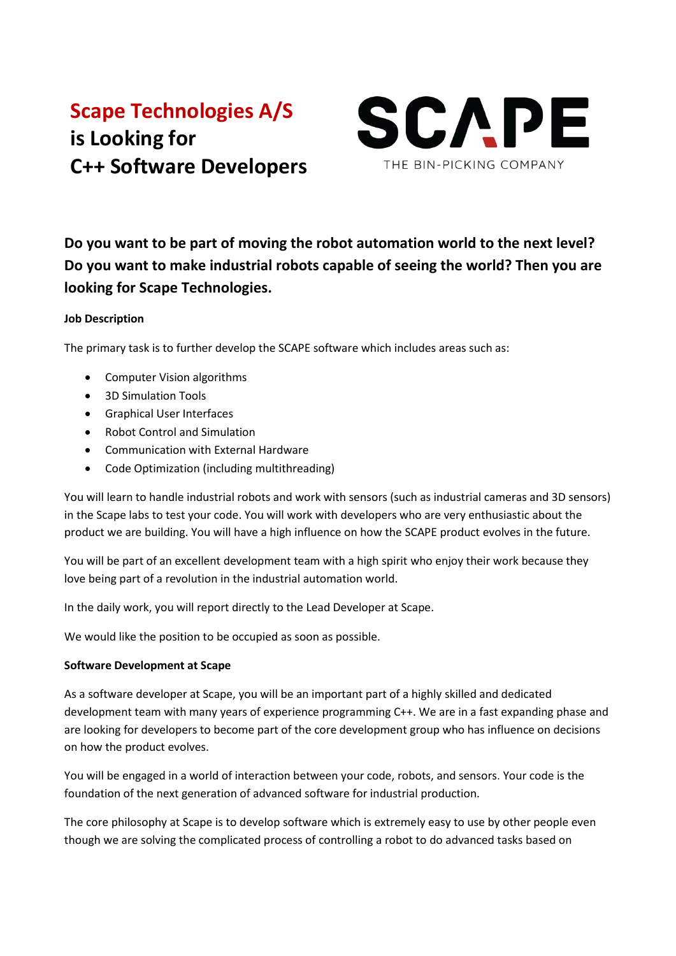# **Scape Technologies A/S is Looking for C++ Software Developers**



**Do you want to be part of moving the robot automation world to the next level? Do you want to make industrial robots capable of seeing the world? Then you are looking for Scape Technologies.**

## **Job Description**

The primary task is to further develop the SCAPE software which includes areas such as:

- Computer Vision algorithms
- 3D Simulation Tools
- Graphical User Interfaces
- Robot Control and Simulation
- Communication with External Hardware
- Code Optimization (including multithreading)

You will learn to handle industrial robots and work with sensors (such as industrial cameras and 3D sensors) in the Scape labs to test your code. You will work with developers who are very enthusiastic about the product we are building. You will have a high influence on how the SCAPE product evolves in the future.

You will be part of an excellent development team with a high spirit who enjoy their work because they love being part of a revolution in the industrial automation world.

In the daily work, you will report directly to the Lead Developer at Scape.

We would like the position to be occupied as soon as possible.

## **Software Development at Scape**

As a software developer at Scape, you will be an important part of a highly skilled and dedicated development team with many years of experience programming C++. We are in a fast expanding phase and are looking for developers to become part of the core development group who has influence on decisions on how the product evolves.

You will be engaged in a world of interaction between your code, robots, and sensors. Your code is the foundation of the next generation of advanced software for industrial production.

The core philosophy at Scape is to develop software which is extremely easy to use by other people even though we are solving the complicated process of controlling a robot to do advanced tasks based on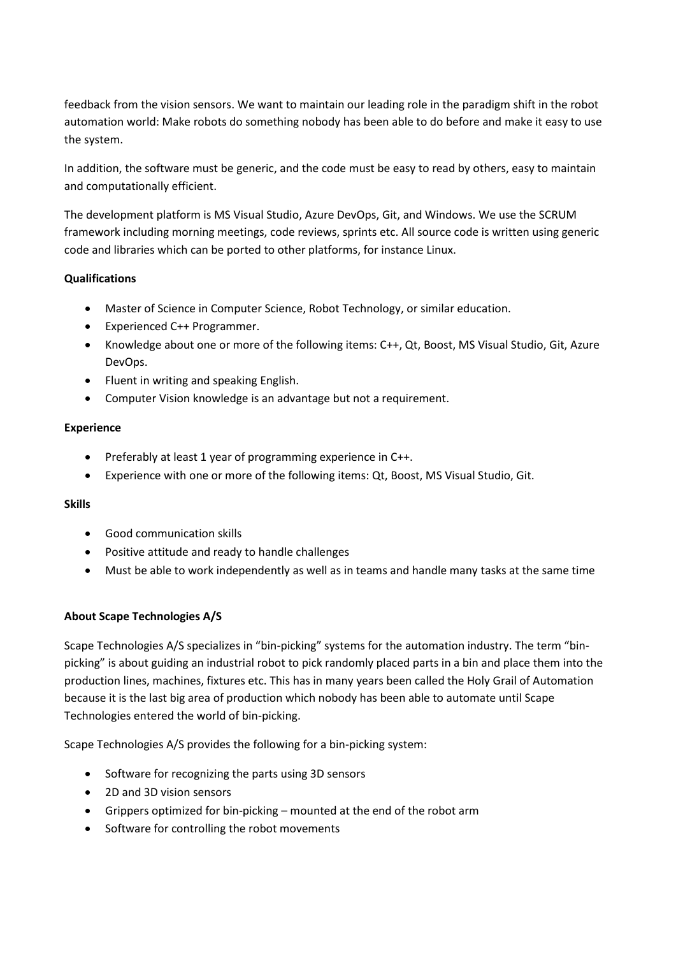feedback from the vision sensors. We want to maintain our leading role in the paradigm shift in the robot automation world: Make robots do something nobody has been able to do before and make it easy to use the system.

In addition, the software must be generic, and the code must be easy to read by others, easy to maintain and computationally efficient.

The development platform is MS Visual Studio, Azure DevOps, Git, and Windows. We use the SCRUM framework including morning meetings, code reviews, sprints etc. All source code is written using generic code and libraries which can be ported to other platforms, for instance Linux.

## **Qualifications**

- Master of Science in Computer Science, Robot Technology, or similar education.
- Experienced C++ Programmer.
- Knowledge about one or more of the following items: C++, Qt, Boost, MS Visual Studio, Git, Azure DevOps.
- Fluent in writing and speaking English.
- Computer Vision knowledge is an advantage but not a requirement.

## **Experience**

- Preferably at least 1 year of programming experience in C++.
- Experience with one or more of the following items: Qt, Boost, MS Visual Studio, Git.

## **Skills**

- Good communication skills
- Positive attitude and ready to handle challenges
- Must be able to work independently as well as in teams and handle many tasks at the same time

## **About Scape Technologies A/S**

Scape Technologies A/S specializes in "bin-picking" systems for the automation industry. The term "binpicking" is about guiding an industrial robot to pick randomly placed parts in a bin and place them into the production lines, machines, fixtures etc. This has in many years been called the Holy Grail of Automation because it is the last big area of production which nobody has been able to automate until Scape Technologies entered the world of bin-picking.

Scape Technologies A/S provides the following for a bin-picking system:

- Software for recognizing the parts using 3D sensors
- 2D and 3D vision sensors
- Grippers optimized for bin-picking mounted at the end of the robot arm
- Software for controlling the robot movements